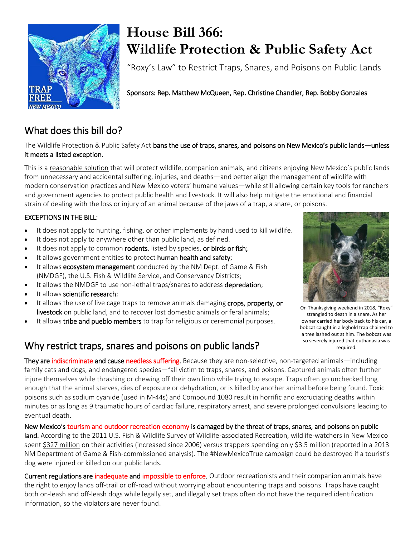

# **House Bill 366: Wildlife Protection & Public Safety Act**

"Roxy's Law" to Restrict Traps, Snares, and Poisons on Public Lands

Sponsors: Rep. Matthew McQueen, Rep. Christine Chandler, Rep. Bobby Gonzales

## What does this bill do?

The Wildlife Protection & Public Safety Act bans the use of traps, snares, and poisons on New Mexico's public lands—unless it meets a listed exception.

This is a reasonable solution that will protect wildlife, companion animals, and citizens enjoying New Mexico's public lands from unnecessary and accidental suffering, injuries, and deaths—and better align the management of wildlife with modern conservation practices and New Mexico voters' humane values—while still allowing certain key tools for ranchers and government agencies to protect public health and livestock. It will also help mitigate the emotional and financial strain of dealing with the loss or injury of an animal because of the jaws of a trap, a snare, or poisons.

#### EXCEPTIONS IN THE BILL:

- It does not apply to hunting, fishing, or other implements by hand used to kill wildlife.
- It does not apply to anywhere other than public land, as defined.
- It does not apply to common rodents, listed by species, or birds or fish;
- It allows government entities to protect human health and safety;
- It allows ecosystem management conducted by the NM Dept. of Game & Fish (NMDGF), the U.S. Fish & Wildlife Service, and Conservancy Districts;
- It allows the NMDGF to use non-lethal traps/snares to address depredation;
- It allows scientific research;
- It allows the use of live cage traps to remove animals damaging crops, property, or livestock on public land, and to recover lost domestic animals or feral animals;
- It allows tribe and pueblo members to trap for religious or ceremonial purposes.

## Why restrict traps, snares and poisons on public lands?



On Thanksgiving weekend in 2018, "Roxy" strangled to death in a snare. As her owner carried her body back to his car, a bobcat caught in a leghold trap chained to a tree lashed out at him. The bobcat was so severely injured that euthanasia was required.

They are indiscriminate and cause needless suffering. Because they are non-selective, non-targeted animals—including family cats and dogs, and endangered species—fall victim to traps, snares, and poisons. Captured animals often further injure themselves while thrashing or chewing off their own limb while trying to escape. Traps often go unchecked long enough that the animal starves, dies of exposure or dehydration, or is killed by another animal before being found. Toxic poisons such as sodium cyanide (used in M-44s) and Compound 1080 result in horrific and excruciating deaths within minutes or as long as 9 traumatic hours of cardiac failure, respiratory arrest, and severe prolonged convulsions leading to eventual death.

New Mexico's tourism and outdoor recreation economy is damaged by the threat of traps, snares, and poisons on public land. According to the 2011 U.S. Fish & Wildlife Survey of Wildlife-associated Recreation, wildlife-watchers in New Mexico spent \$327 million on their activities (increased since 2006) versus trappers spending only \$3.5 million (reported in a 2013 NM Department of Game & Fish-commissioned analysis). The #NewMexicoTrue campaign could be destroyed if a tourist's dog were injured or killed on our public lands.

Current regulations are inadequate and impossible to enforce. Outdoor recreationists and their companion animals have the right to enjoy lands off-trail or off-road without worrying about encountering traps and poisons. Traps have caught both on-leash and off-leash dogs while legally set, and illegally set traps often do not have the required identification information, so the violators are never found.